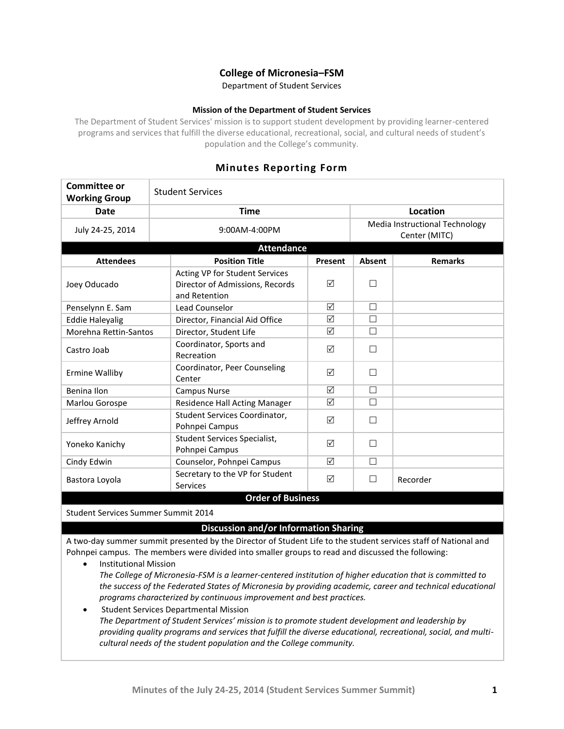# **College of Micronesia–FSM**

Department of Student Services

### **Mission of the Department of Student Services**

The Department of Student Services' mission is to support student development by providing learner-centered programs and services that fulfill the diverse educational, recreational, social, and cultural needs of student's population and the College's community.

# **Minutes Reporting Form**

| <b>Committee or</b><br><b>Working Group</b> | <b>Student Services</b>                                                            |                 |                                                 |                |  |
|---------------------------------------------|------------------------------------------------------------------------------------|-----------------|-------------------------------------------------|----------------|--|
| Date                                        | <b>Time</b>                                                                        |                 | Location                                        |                |  |
| July 24-25, 2014                            | 9:00AM-4:00PM                                                                      |                 | Media Instructional Technology<br>Center (MITC) |                |  |
| <b>Attendance</b>                           |                                                                                    |                 |                                                 |                |  |
| <b>Attendees</b>                            | <b>Position Title</b>                                                              | Present         | <b>Absent</b>                                   | <b>Remarks</b> |  |
| Joey Oducado                                | Acting VP for Student Services<br>Director of Admissions, Records<br>and Retention | ☑               |                                                 |                |  |
| Penselynn E. Sam                            | Lead Counselor                                                                     | ☑               | П                                               |                |  |
| <b>Eddie Haleyalig</b>                      | Director, Financial Aid Office                                                     | ☑               | П                                               |                |  |
| Morehna Rettin-Santos                       | Director, Student Life                                                             | ☑               | П                                               |                |  |
| Castro Joab                                 | Coordinator, Sports and<br>Recreation                                              | ☑               |                                                 |                |  |
| <b>Ermine Walliby</b>                       | Coordinator, Peer Counseling<br>Center                                             | ☑               | П                                               |                |  |
| Benina Ilon                                 | <b>Campus Nurse</b>                                                                | $\triangledown$ | $\Box$                                          |                |  |
| Marlou Gorospe                              | Residence Hall Acting Manager                                                      | ☑               | $\Box$                                          |                |  |
| Jeffrey Arnold                              | Student Services Coordinator,<br>Pohnpei Campus                                    | ☑               | П                                               |                |  |
| Yoneko Kanichy                              | Student Services Specialist,<br>Pohnpei Campus                                     | ☑               | П                                               |                |  |
| Cindy Edwin                                 | Counselor, Pohnpei Campus                                                          | ☑               | П                                               |                |  |
| Bastora Loyola                              | Secretary to the VP for Student<br>Services                                        | ☑               |                                                 | Recorder       |  |
| <b>Order of Business</b>                    |                                                                                    |                 |                                                 |                |  |

#### Student Services Summer Summit 2014

## **Discussion and/or Information Sharing**

A two-day summer summit presented by the Director of Student Life to the student services staff of National and Pohnpei campus. The members were divided into smaller groups to read and discussed the following:

- Institutional Mission *The College of Micronesia-FSM is a learner-centered institution of higher education that is committed to the success of the Federated States of Micronesia by providing academic, career and technical educational programs characterized by continuous improvement and best practices.*
- Student Services Departmental Mission *The Department of Student Services' mission is to promote student development and leadership by providing quality programs and services that fulfill the diverse educational, recreational, social, and multicultural needs of the student population and the College community.*